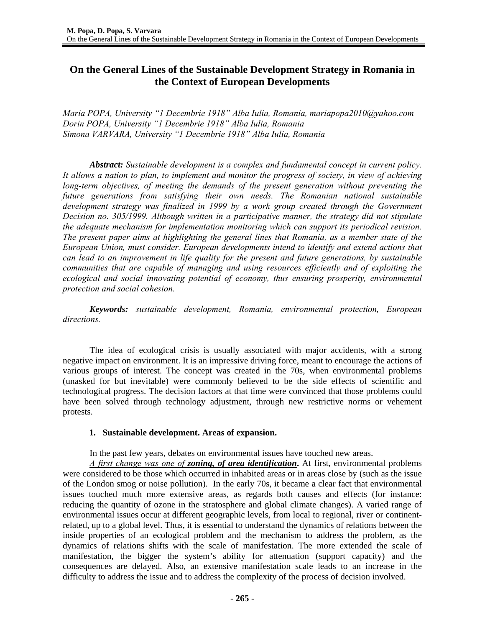# **On the General Lines of the Sustainable Development Strategy in Romania in the Context of European Developments**

*Maria POPA, University "1 Decembrie 1918" Alba Iulia, Romania, mariapopa2010@yahoo.com Dorin POPA, University "1 Decembrie 1918" Alba Iulia, Romania Simona VARVARA, University "1 Decembrie 1918" Alba Iulia, Romania* 

*Abstract: Sustainable development is a complex and fundamental concept in current policy. It allows a nation to plan, to implement and monitor the progress of society, in view of achieving long-term objectives, of meeting the demands of the present generation without preventing the future generations from satisfying their own needs. The Romanian national sustainable*  development strategy was finalized in 1999 by a work group created through the Government *Decision no. 305/1999. Although written in a participative manner, the strategy did not stipulate the adequate mechanism for implementation monitoring which can support its periodical revision. The present paper aims at highlighting the general lines that Romania, as a member state of the European Union, must consider. European developments intend to identify and extend actions that can lead to an improvement in life quality for the present and future generations, by sustainable communities that are capable of managing and using resources efficiently and of exploiting the ecological and social innovating potential of economy, thus ensuring prosperity, environmental protection and social cohesion.* 

*Keywords: sustainable development, Romania, environmental protection, European directions.* 

The idea of ecological crisis is usually associated with major accidents, with a strong negative impact on environment. It is an impressive driving force, meant to encourage the actions of various groups of interest. The concept was created in the 70s, when environmental problems (unasked for but inevitable) were commonly believed to be the side effects of scientific and technological progress. The decision factors at that time were convinced that those problems could have been solved through technology adjustment, through new restrictive norms or vehement protests.

### **1. Sustainable development. Areas of expansion.**

In the past few years, debates on environmental issues have touched new areas.

*A first change was one of zoning, of area identification***.** At first, environmental problems were considered to be those which occurred in inhabited areas or in areas close by (such as the issue of the London smog or noise pollution). In the early 70s, it became a clear fact that environmental issues touched much more extensive areas, as regards both causes and effects (for instance: reducing the quantity of ozone in the stratosphere and global climate changes). A varied range of environmental issues occur at different geographic levels, from local to regional, river or continentrelated, up to a global level. Thus, it is essential to understand the dynamics of relations between the inside properties of an ecological problem and the mechanism to address the problem, as the dynamics of relations shifts with the scale of manifestation. The more extended the scale of manifestation, the bigger the system's ability for attenuation (support capacity) and the consequences are delayed. Also, an extensive manifestation scale leads to an increase in the difficulty to address the issue and to address the complexity of the process of decision involved.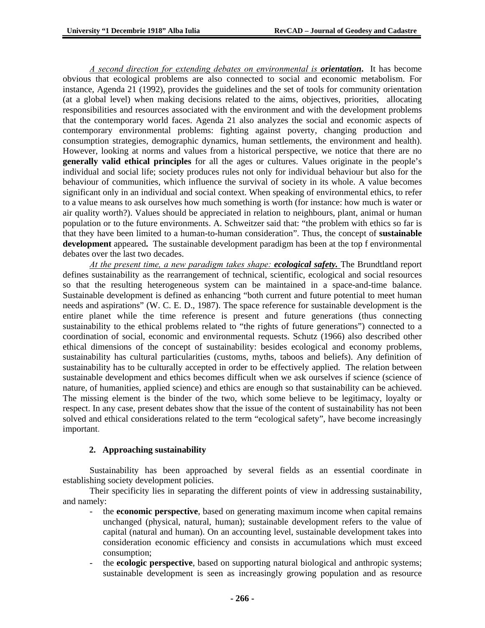*A second direction for extending debates on environmental is orientation***.** It has become obvious that ecological problems are also connected to social and economic metabolism. For instance, Agenda 21 (1992), provides the guidelines and the set of tools for community orientation (at a global level) when making decisions related to the aims, objectives, priorities, allocating responsibilities and resources associated with the environment and with the development problems that the contemporary world faces. Agenda 21 also analyzes the social and economic aspects of contemporary environmental problems: fighting against poverty, changing production and consumption strategies, demographic dynamics, human settlements, the environment and health). However, looking at norms and values from a historical perspective, we notice that there are no **generally valid ethical principles** for all the ages or cultures. Values originate in the people's individual and social life; society produces rules not only for individual behaviour but also for the behaviour of communities, which influence the survival of society in its whole. A value becomes significant only in an individual and social context. When speaking of environmental ethics, to refer to a value means to ask ourselves how much something is worth (for instance: how much is water or air quality worth?). Values should be appreciated in relation to neighbours, plant, animal or human population or to the future environments. A. Schweitzer said that: "the problem with ethics so far is that they have been limited to a human-to-human consideration". Thus, the concept of **sustainable development** appeared**.** The sustainable development paradigm has been at the top f environmental debates over the last two decades.

*At the present time, a new paradigm takes shape: ecological safety.* The Brundtland report defines sustainability as the rearrangement of technical, scientific, ecological and social resources so that the resulting heterogeneous system can be maintained in a space-and-time balance. Sustainable development is defined as enhancing "both current and future potential to meet human needs and aspirations" (W. C. E. D., 1987). The space reference for sustainable development is the entire planet while the time reference is present and future generations (thus connecting sustainability to the ethical problems related to "the rights of future generations") connected to a coordination of social, economic and environmental requests. Schutz (1966) also described other ethical dimensions of the concept of sustainability: besides ecological and economy problems, sustainability has cultural particularities (customs, myths, taboos and beliefs). Any definition of sustainability has to be culturally accepted in order to be effectively applied. The relation between sustainable development and ethics becomes difficult when we ask ourselves if science (science of nature, of humanities, applied science) and ethics are enough so that sustainability can be achieved. The missing element is the binder of the two, which some believe to be legitimacy, loyalty or respect. In any case, present debates show that the issue of the content of sustainability has not been solved and ethical considerations related to the term "ecological safety", have become increasingly important.

# **2. Approaching sustainability**

Sustainability has been approached by several fields as an essential coordinate in establishing society development policies.

Their specificity lies in separating the different points of view in addressing sustainability, and namely:

- the **economic perspective**, based on generating maximum income when capital remains unchanged (physical, natural, human); sustainable development refers to the value of capital (natural and human). On an accounting level, sustainable development takes into consideration economic efficiency and consists in accumulations which must exceed consumption;
- the **ecologic perspective**, based on supporting natural biological and anthropic systems; sustainable development is seen as increasingly growing population and as resource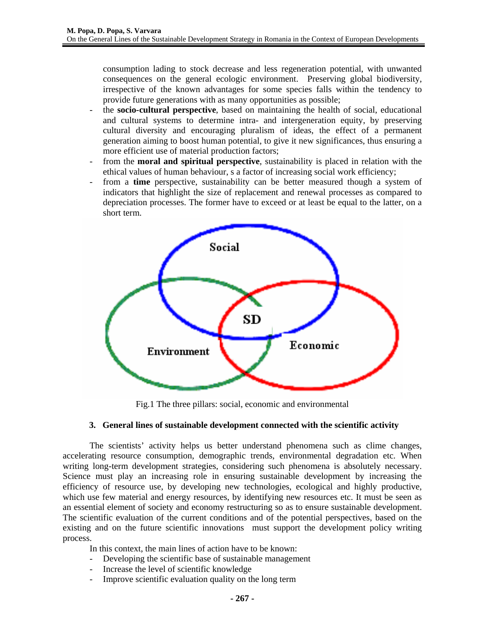consumption lading to stock decrease and less regeneration potential, with unwanted consequences on the general ecologic environment. Preserving global biodiversity, irrespective of the known advantages for some species falls within the tendency to provide future generations with as many opportunities as possible;

- the **socio-cultural perspective**, based on maintaining the health of social, educational and cultural systems to determine intra- and intergeneration equity, by preserving cultural diversity and encouraging pluralism of ideas, the effect of a permanent generation aiming to boost human potential, to give it new significances, thus ensuring a more efficient use of material production factors;
- from the **moral and spiritual perspective**, sustainability is placed in relation with the ethical values of human behaviour, s a factor of increasing social work efficiency;
- from a **time** perspective, sustainability can be better measured though a system of indicators that highlight the size of replacement and renewal processes as compared to depreciation processes. The former have to exceed or at least be equal to the latter, on a short term.



Fig.1 The three pillars: social, economic and environmental

### **3. General lines of sustainable development connected with the scientific activity**

The scientists' activity helps us better understand phenomena such as clime changes, accelerating resource consumption, demographic trends, environmental degradation etc. When writing long-term development strategies, considering such phenomena is absolutely necessary. Science must play an increasing role in ensuring sustainable development by increasing the efficiency of resource use, by developing new technologies, ecological and highly productive, which use few material and energy resources, by identifying new resources etc. It must be seen as an essential element of society and economy restructuring so as to ensure sustainable development. The scientific evaluation of the current conditions and of the potential perspectives, based on the existing and on the future scientific innovations must support the development policy writing process.

In this context, the main lines of action have to be known:

- Developing the scientific base of sustainable management
- Increase the level of scientific knowledge
- Improve scientific evaluation quality on the long term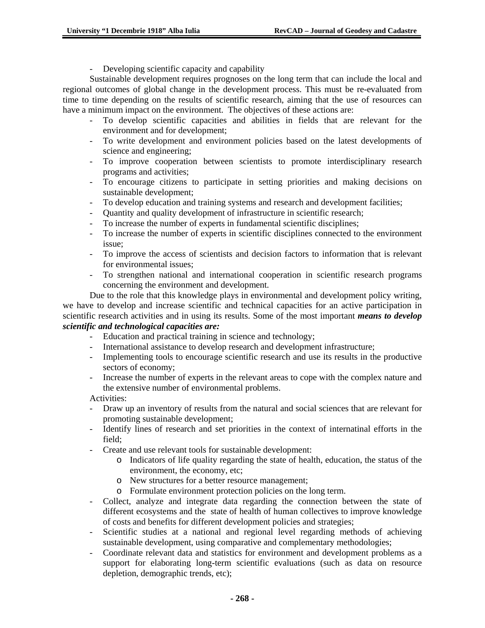Developing scientific capacity and capability

Sustainable development requires prognoses on the long term that can include the local and regional outcomes of global change in the development process. This must be re-evaluated from time to time depending on the results of scientific research, aiming that the use of resources can have a minimum impact on the environment. The objectives of these actions are:

- To develop scientific capacities and abilities in fields that are relevant for the environment and for development;
- To write development and environment policies based on the latest developments of science and engineering;
- To improve cooperation between scientists to promote interdisciplinary research programs and activities;
- To encourage citizens to participate in setting priorities and making decisions on sustainable development;
- To develop education and training systems and research and development facilities;
- Quantity and quality development of infrastructure in scientific research;
- To increase the number of experts in fundamental scientific disciplines;
- To increase the number of experts in scientific disciplines connected to the environment issue;
- To improve the access of scientists and decision factors to information that is relevant for environmental issues;
- To strengthen national and international cooperation in scientific research programs concerning the environment and development.

Due to the role that this knowledge plays in environmental and development policy writing, we have to develop and increase scientific and technical capacities for an active participation in scientific research activities and in using its results. Some of the most important *means to develop scientific and technological capacities are:* 

- Education and practical training in science and technology;
- International assistance to develop research and development infrastructure;
- Implementing tools to encourage scientific research and use its results in the productive sectors of economy;
- Increase the number of experts in the relevant areas to cope with the complex nature and the extensive number of environmental problems.

Activities:

- Draw up an inventory of results from the natural and social sciences that are relevant for promoting sustainable development;
- Identify lines of research and set priorities in the context of internatinal efforts in the field;
- Create and use relevant tools for sustainable development:
	- o Indicators of life quality regarding the state of health, education, the status of the environment, the economy, etc;
	- o New structures for a better resource management;
	- o Formulate environment protection policies on the long term.
- Collect, analyze and integrate data regarding the connection between the state of different ecosystems and the state of health of human collectives to improve knowledge of costs and benefits for different development policies and strategies;
- Scientific studies at a national and regional level regarding methods of achieving sustainable development, using comparative and complementary methodologies;
- Coordinate relevant data and statistics for environment and development problems as a support for elaborating long-term scientific evaluations (such as data on resource depletion, demographic trends, etc);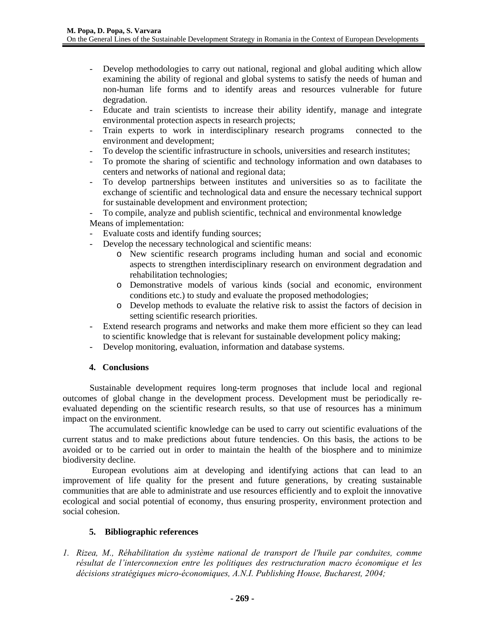- Develop methodologies to carry out national, regional and global auditing which allow examining the ability of regional and global systems to satisfy the needs of human and non-human life forms and to identify areas and resources vulnerable for future degradation.
- Educate and train scientists to increase their ability identify, manage and integrate environmental protection aspects in research projects;
- Train experts to work in interdisciplinary research programs connected to the environment and development;
- To develop the scientific infrastructure in schools, universities and research institutes;
- To promote the sharing of scientific and technology information and own databases to centers and networks of national and regional data;
- To develop partnerships between institutes and universities so as to facilitate the exchange of scientific and technological data and ensure the necessary technical support for sustainable development and environment protection;

- To compile, analyze and publish scientific, technical and environmental knowledge Means of implementation:

- Evaluate costs and identify funding sources;
- Develop the necessary technological and scientific means:
	- o New scientific research programs including human and social and economic aspects to strengthen interdisciplinary research on environment degradation and rehabilitation technologies;
	- o Demonstrative models of various kinds (social and economic, environment conditions etc.) to study and evaluate the proposed methodologies;
	- o Develop methods to evaluate the relative risk to assist the factors of decision in setting scientific research priorities.
- Extend research programs and networks and make them more efficient so they can lead to scientific knowledge that is relevant for sustainable development policy making;
- Develop monitoring, evaluation, information and database systems.

# **4. Conclusions**

Sustainable development requires long-term prognoses that include local and regional outcomes of global change in the development process. Development must be periodically reevaluated depending on the scientific research results, so that use of resources has a minimum impact on the environment.

The accumulated scientific knowledge can be used to carry out scientific evaluations of the current status and to make predictions about future tendencies. On this basis, the actions to be avoided or to be carried out in order to maintain the health of the biosphere and to minimize biodiversity decline.

 European evolutions aim at developing and identifying actions that can lead to an improvement of life quality for the present and future generations, by creating sustainable communities that are able to administrate and use resources efficiently and to exploit the innovative ecological and social potential of economy, thus ensuring prosperity, environment protection and social cohesion.

# **5. Bibliographic references**

*1. Rizea, M., Réhabilitation du système national de transport de l'huile par conduites, comme résultat de l'interconnexion entre les politiques des restructuration macro économique et les décisions stratégiques micro-économiques, A.N.I. Publishing House, Bucharest, 2004;*